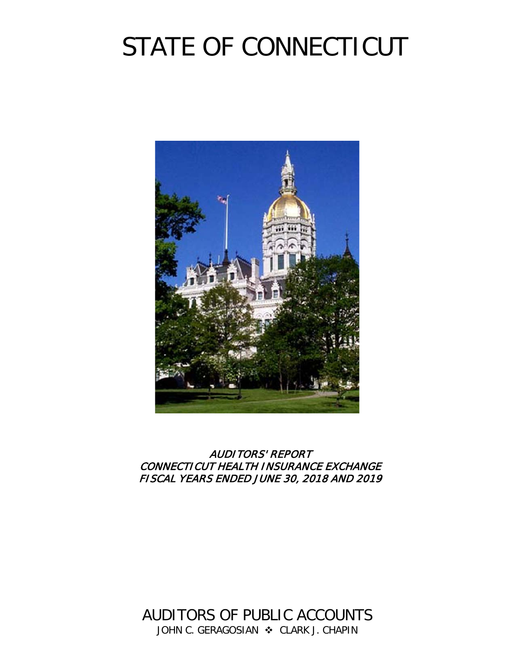# STATE OF CONNECTICUT



## AUDITORS' REPORT CONNECTICUT HEALTH INSURANCE EXCHANGE FISCAL YEARS ENDED JUNE 30, 2018 AND 2019

AUDITORS OF PUBLIC ACCOUNTS JOHN C. GERAGOSIAN  $\cdot$  CLARK J. CHAPIN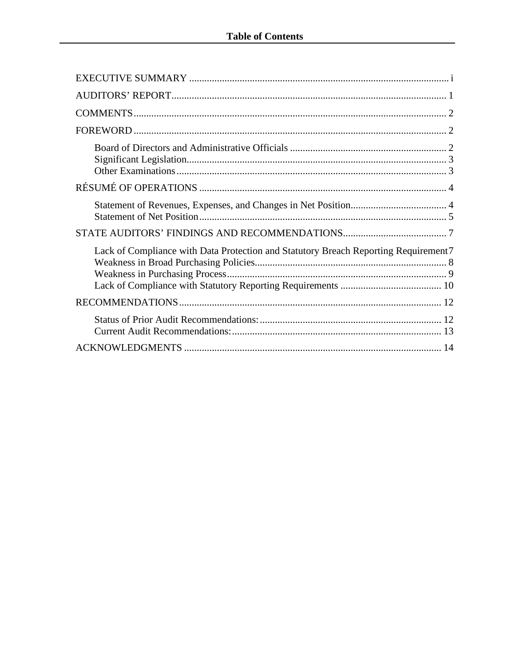| Lack of Compliance with Data Protection and Statutory Breach Reporting Requirement 7 |
|--------------------------------------------------------------------------------------|
|                                                                                      |
|                                                                                      |
|                                                                                      |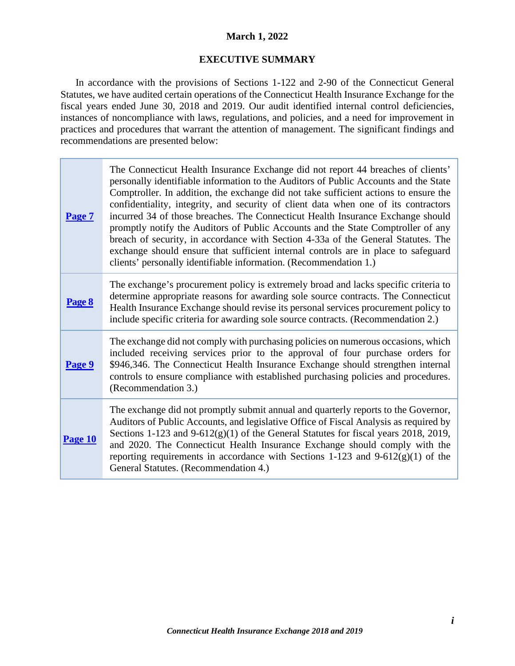#### **March 1, 2022**

#### **EXECUTIVE SUMMARY**

<span id="page-2-0"></span>In accordance with the provisions of Sections 1-122 and 2-90 of the Connecticut General Statutes, we have audited certain operations of the Connecticut Health Insurance Exchange for the fiscal years ended June 30, 2018 and 2019. Our audit identified internal control deficiencies, instances of noncompliance with laws, regulations, and policies, and a need for improvement in practices and procedures that warrant the attention of management. The significant findings and recommendations are presented below:

| Page 7  | The Connecticut Health Insurance Exchange did not report 44 breaches of clients'<br>personally identifiable information to the Auditors of Public Accounts and the State<br>Comptroller. In addition, the exchange did not take sufficient actions to ensure the<br>confidentiality, integrity, and security of client data when one of its contractors<br>incurred 34 of those breaches. The Connecticut Health Insurance Exchange should<br>promptly notify the Auditors of Public Accounts and the State Comptroller of any<br>breach of security, in accordance with Section 4-33a of the General Statutes. The<br>exchange should ensure that sufficient internal controls are in place to safeguard<br>clients' personally identifiable information. (Recommendation 1.) |
|---------|--------------------------------------------------------------------------------------------------------------------------------------------------------------------------------------------------------------------------------------------------------------------------------------------------------------------------------------------------------------------------------------------------------------------------------------------------------------------------------------------------------------------------------------------------------------------------------------------------------------------------------------------------------------------------------------------------------------------------------------------------------------------------------|
| Page 8  | The exchange's procurement policy is extremely broad and lacks specific criteria to<br>determine appropriate reasons for awarding sole source contracts. The Connecticut<br>Health Insurance Exchange should revise its personal services procurement policy to<br>include specific criteria for awarding sole source contracts. (Recommendation 2.)                                                                                                                                                                                                                                                                                                                                                                                                                           |
| Page 9  | The exchange did not comply with purchasing policies on numerous occasions, which<br>included receiving services prior to the approval of four purchase orders for<br>\$946,346. The Connecticut Health Insurance Exchange should strengthen internal<br>controls to ensure compliance with established purchasing policies and procedures.<br>(Recommendation 3.)                                                                                                                                                                                                                                                                                                                                                                                                             |
| Page 10 | The exchange did not promptly submit annual and quarterly reports to the Governor,<br>Auditors of Public Accounts, and legislative Office of Fiscal Analysis as required by<br>Sections 1-123 and $9-612(g)(1)$ of the General Statutes for fiscal years 2018, 2019,<br>and 2020. The Connecticut Health Insurance Exchange should comply with the<br>reporting requirements in accordance with Sections 1-123 and $9-612(g)(1)$ of the<br>General Statutes. (Recommendation 4.)                                                                                                                                                                                                                                                                                               |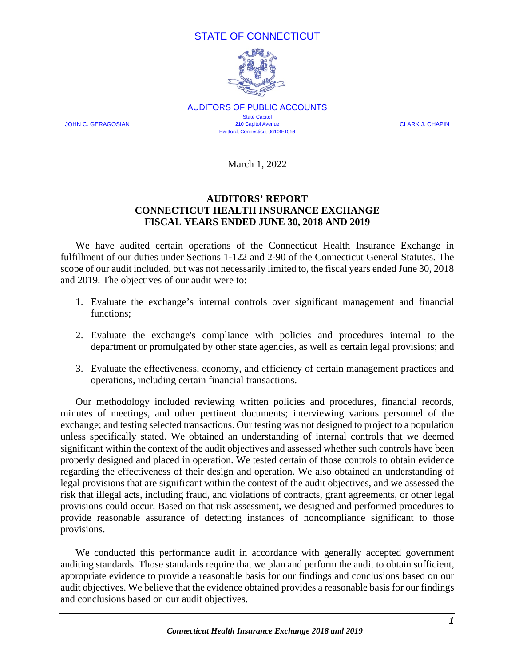## STATE OF CONNECTICUT



AUDITORS OF PUBLIC ACCOUNTS **State Capitol** JOHN C. GERAGOSIAN 210 Capitol Avenue CLARK J. CHAPIN Hartford, Connecticut 06106-1559

March 1, 2022

## **AUDITORS' REPORT CONNECTICUT HEALTH INSURANCE EXCHANGE FISCAL YEARS ENDED JUNE 30, 2018 AND 2019**

<span id="page-3-0"></span>We have audited certain operations of the Connecticut Health Insurance Exchange in fulfillment of our duties under Sections 1-122 and 2-90 of the Connecticut General Statutes. The scope of our audit included, but was not necessarily limited to, the fiscal years ended June 30, 2018 and 2019. The objectives of our audit were to:

- 1. Evaluate the exchange's internal controls over significant management and financial functions;
- 2. Evaluate the exchange's compliance with policies and procedures internal to the department or promulgated by other state agencies, as well as certain legal provisions; and
- 3. Evaluate the effectiveness, economy, and efficiency of certain management practices and operations, including certain financial transactions.

Our methodology included reviewing written policies and procedures, financial records, minutes of meetings, and other pertinent documents; interviewing various personnel of the exchange; and testing selected transactions. Our testing was not designed to project to a population unless specifically stated. We obtained an understanding of internal controls that we deemed significant within the context of the audit objectives and assessed whether such controls have been properly designed and placed in operation. We tested certain of those controls to obtain evidence regarding the effectiveness of their design and operation. We also obtained an understanding of legal provisions that are significant within the context of the audit objectives, and we assessed the risk that illegal acts, including fraud, and violations of contracts, grant agreements, or other legal provisions could occur. Based on that risk assessment, we designed and performed procedures to provide reasonable assurance of detecting instances of noncompliance significant to those provisions.

We conducted this performance audit in accordance with generally accepted government auditing standards. Those standards require that we plan and perform the audit to obtain sufficient, appropriate evidence to provide a reasonable basis for our findings and conclusions based on our audit objectives. We believe that the evidence obtained provides a reasonable basis for our findings and conclusions based on our audit objectives.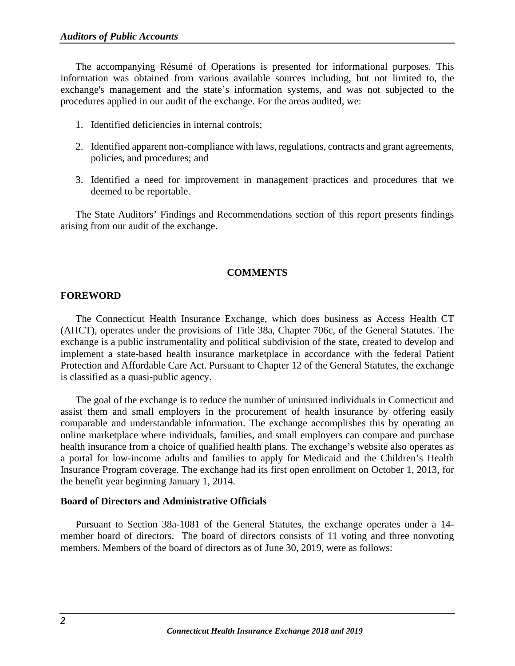The accompanying Résumé of Operations is presented for informational purposes. This information was obtained from various available sources including, but not limited to, the exchange's management and the state's information systems, and was not subjected to the procedures applied in our audit of the exchange. For the areas audited, we:

- 1. Identified deficiencies in internal controls;
- 2. Identified apparent non-compliance with laws, regulations, contracts and grant agreements, policies, and procedures; and
- 3. Identified a need for improvement in management practices and procedures that we deemed to be reportable.

The State Auditors' Findings and Recommendations section of this report presents findings arising from our audit of the exchange.

#### **COMMENTS**

#### <span id="page-4-1"></span><span id="page-4-0"></span>**FOREWORD**

The Connecticut Health Insurance Exchange, which does business as Access Health CT (AHCT), operates under the provisions of Title 38a, Chapter 706c, of the General Statutes. The exchange is a public instrumentality and political subdivision of the state, created to develop and implement a state-based health insurance marketplace in accordance with the federal Patient Protection and Affordable Care Act. Pursuant to Chapter 12 of the General Statutes, the exchange is classified as a quasi-public agency.

The goal of the exchange is to reduce the number of uninsured individuals in Connecticut and assist them and small employers in the procurement of health insurance by offering easily comparable and understandable information. The exchange accomplishes this by operating an online marketplace where individuals, families, and small employers can compare and purchase health insurance from a choice of qualified health plans. The exchange's website also operates as a portal for low-income adults and families to apply for Medicaid and the Children's Health Insurance Program coverage. The exchange had its first open enrollment on October 1, 2013, for the benefit year beginning January 1, 2014.

#### <span id="page-4-2"></span>**Board of Directors and Administrative Officials**

Pursuant to Section 38a-1081 of the General Statutes, the exchange operates under a 14 member board of directors. The board of directors consists of 11 voting and three nonvoting members. Members of the board of directors as of June 30, 2019, were as follows: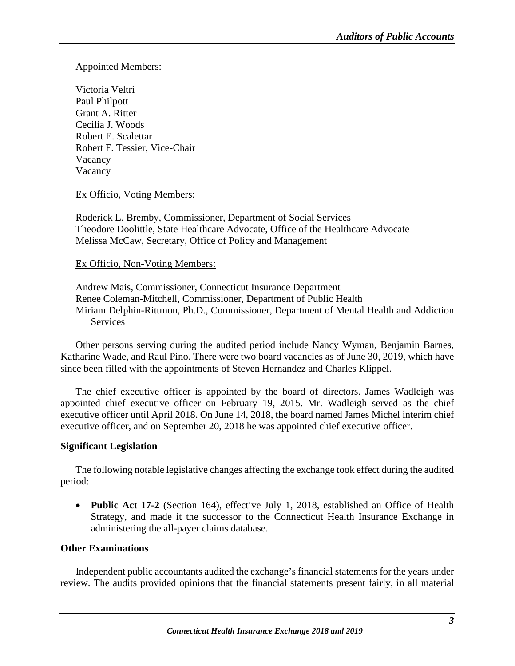#### Appointed Members:

Victoria Veltri Paul Philpott Grant A. Ritter Cecilia J. Woods Robert E. Scalettar Robert F. Tessier, Vice-Chair Vacancy Vacancy

#### Ex Officio, Voting Members:

Roderick L. Bremby, Commissioner, Department of Social Services Theodore Doolittle, State Healthcare Advocate, Office of the Healthcare Advocate Melissa McCaw, Secretary, Office of Policy and Management

#### Ex Officio, Non-Voting Members:

Andrew Mais, Commissioner, Connecticut Insurance Department Renee Coleman-Mitchell, Commissioner, Department of Public Health Miriam Delphin-Rittmon, Ph.D., Commissioner, Department of Mental Health and Addiction **Services** 

Other persons serving during the audited period include Nancy Wyman, Benjamin Barnes, Katharine Wade, and Raul Pino. There were two board vacancies as of June 30, 2019, which have since been filled with the appointments of Steven Hernandez and Charles Klippel.

The chief executive officer is appointed by the board of directors. James Wadleigh was appointed chief executive officer on February 19, 2015. Mr. Wadleigh served as the chief executive officer until April 2018. On June 14, 2018, the board named James Michel interim chief executive officer, and on September 20, 2018 he was appointed chief executive officer.

#### <span id="page-5-0"></span>**Significant Legislation**

The following notable legislative changes affecting the exchange took effect during the audited period:

• **Public Act 17-2** (Section 164), effective July 1, 2018, established an Office of Health Strategy, and made it the successor to the Connecticut Health Insurance Exchange in administering the all-payer claims database.

#### <span id="page-5-1"></span>**Other Examinations**

Independent public accountants audited the exchange's financial statements for the years under review. The audits provided opinions that the financial statements present fairly, in all material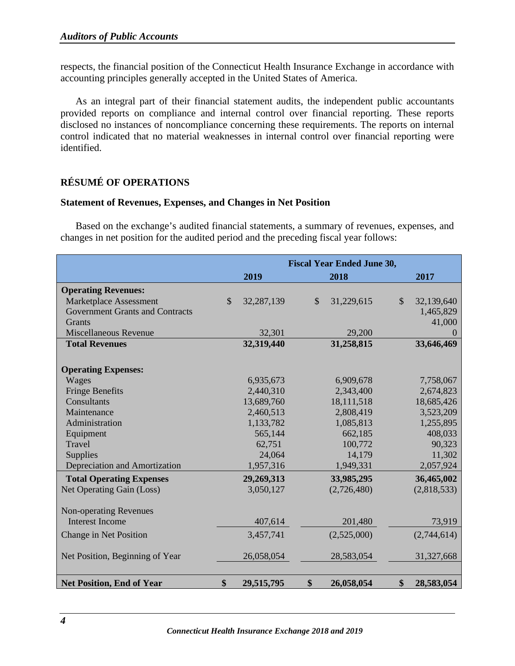respects, the financial position of the Connecticut Health Insurance Exchange in accordance with accounting principles generally accepted in the United States of America.

As an integral part of their financial statement audits, the independent public accountants provided reports on compliance and internal control over financial reporting. These reports disclosed no instances of noncompliance concerning these requirements. The reports on internal control indicated that no material weaknesses in internal control over financial reporting were identified.

## <span id="page-6-0"></span>**RÉSUMÉ OF OPERATIONS**

#### <span id="page-6-1"></span>**Statement of Revenues, Expenses, and Changes in Net Position**

Based on the exchange's audited financial statements, a summary of revenues, expenses, and changes in net position for the audited period and the preceding fiscal year follows:

|                                        |               |            |              | <b>Fiscal Year Ended June 30,</b> |               |             |
|----------------------------------------|---------------|------------|--------------|-----------------------------------|---------------|-------------|
|                                        |               | 2019       |              | 2018                              |               | 2017        |
| <b>Operating Revenues:</b>             |               |            |              |                                   |               |             |
| Marketplace Assessment                 | $\mathcal{S}$ | 32,287,139 | $\mathbb{S}$ | 31,229,615                        | $\mathcal{S}$ | 32,139,640  |
| <b>Government Grants and Contracts</b> |               |            |              |                                   |               | 1,465,829   |
| <b>Grants</b>                          |               |            |              |                                   |               | 41,000      |
| <b>Miscellaneous Revenue</b>           |               | 32,301     |              | 29,200                            |               |             |
| <b>Total Revenues</b>                  |               | 32,319,440 |              | 31,258,815                        |               | 33,646,469  |
|                                        |               |            |              |                                   |               |             |
| <b>Operating Expenses:</b>             |               |            |              |                                   |               |             |
| Wages                                  |               | 6,935,673  |              | 6,909,678                         |               | 7,758,067   |
| <b>Fringe Benefits</b>                 |               | 2,440,310  |              | 2,343,400                         |               | 2,674,823   |
| Consultants                            |               | 13,689,760 |              | 18,111,518                        |               | 18,685,426  |
| Maintenance                            |               | 2,460,513  |              | 2,808,419                         |               | 3,523,209   |
| Administration                         |               | 1,133,782  |              | 1,085,813                         |               | 1,255,895   |
| Equipment                              |               | 565,144    |              | 662,185                           |               | 408,033     |
| Travel                                 |               | 62,751     |              | 100,772                           |               | 90,323      |
| <b>Supplies</b>                        |               | 24,064     |              | 14,179                            |               | 11,302      |
| Depreciation and Amortization          |               | 1,957,316  |              | 1,949,331                         |               | 2,057,924   |
| <b>Total Operating Expenses</b>        |               | 29,269,313 |              | 33,985,295                        |               | 36,465,002  |
| Net Operating Gain (Loss)              |               | 3,050,127  |              | (2,726,480)                       |               | (2,818,533) |
|                                        |               |            |              |                                   |               |             |
| <b>Non-operating Revenues</b>          |               |            |              |                                   |               |             |
| <b>Interest Income</b>                 |               | 407,614    |              | 201,480                           |               | 73,919      |
| Change in Net Position                 |               | 3,457,741  |              | (2,525,000)                       |               | (2,744,614) |
|                                        |               |            |              |                                   |               |             |
| Net Position, Beginning of Year        |               | 26,058,054 |              | 28,583,054                        |               | 31,327,668  |
|                                        |               |            |              |                                   |               |             |
| <b>Net Position, End of Year</b>       | \$            | 29,515,795 | \$           | 26,058,054                        | \$            | 28,583,054  |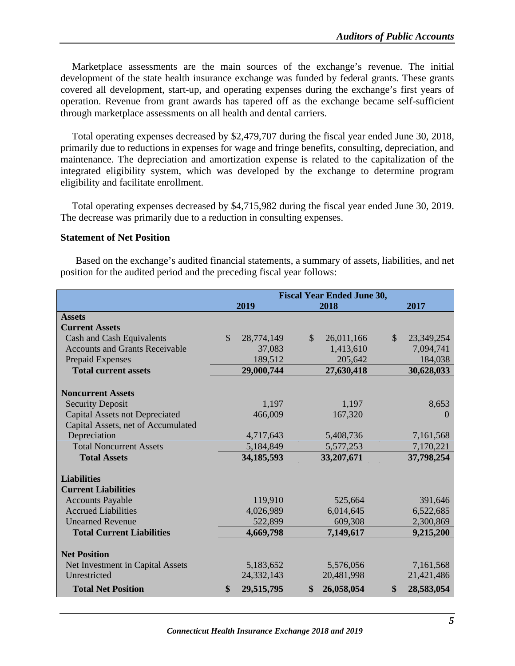Marketplace assessments are the main sources of the exchange's revenue. The initial development of the state health insurance exchange was funded by federal grants. These grants covered all development, start-up, and operating expenses during the exchange's first years of operation. Revenue from grant awards has tapered off as the exchange became self-sufficient through marketplace assessments on all health and dental carriers.

Total operating expenses decreased by \$2,479,707 during the fiscal year ended June 30, 2018, primarily due to reductions in expenses for wage and fringe benefits, consulting, depreciation, and maintenance. The depreciation and amortization expense is related to the capitalization of the integrated eligibility system, which was developed by the exchange to determine program eligibility and facilitate enrollment.

Total operating expenses decreased by \$4,715,982 during the fiscal year ended June 30, 2019. The decrease was primarily due to a reduction in consulting expenses.

#### <span id="page-7-0"></span>**Statement of Net Position**

Based on the exchange's audited financial statements, a summary of assets, liabilities, and net position for the audited period and the preceding fiscal year follows:

|                                       |               |              |               | <b>Fiscal Year Ended June 30,</b> |                   |            |
|---------------------------------------|---------------|--------------|---------------|-----------------------------------|-------------------|------------|
|                                       |               | 2019         |               | 2018                              |                   | 2017       |
| <b>Assets</b>                         |               |              |               |                                   |                   |            |
| <b>Current Assets</b>                 |               |              |               |                                   |                   |            |
| Cash and Cash Equivalents             | $\mathcal{S}$ | 28,774,149   | $\mathcal{S}$ | 26,011,166                        | $\mathcal{S}$     | 23,349,254 |
| <b>Accounts and Grants Receivable</b> |               | 37,083       |               | 1,413,610                         |                   | 7,094,741  |
| <b>Prepaid Expenses</b>               |               | 189,512      |               | 205,642                           |                   | 184,038    |
| <b>Total current assets</b>           |               | 29,000,744   |               | 27,630,418                        |                   | 30,628,033 |
|                                       |               |              |               |                                   |                   |            |
| <b>Noncurrent Assets</b>              |               |              |               |                                   |                   |            |
| <b>Security Deposit</b>               |               | 1,197        |               | 1,197                             |                   | 8,653      |
| <b>Capital Assets not Depreciated</b> |               | 466,009      |               | 167,320                           |                   | $\Omega$   |
| Capital Assets, net of Accumulated    |               |              |               |                                   |                   |            |
| Depreciation                          |               | 4,717,643    |               | 5,408,736                         |                   | 7,161,568  |
| <b>Total Noncurrent Assets</b>        |               | 5,184,849    |               | 5,577,253                         |                   | 7,170,221  |
| <b>Total Assets</b>                   |               | 34, 185, 593 |               | 33,207,671                        |                   | 37,798,254 |
|                                       |               |              |               |                                   |                   |            |
| <b>Liabilities</b>                    |               |              |               |                                   |                   |            |
| <b>Current Liabilities</b>            |               |              |               |                                   |                   |            |
| <b>Accounts Payable</b>               |               | 119,910      |               | 525,664                           |                   | 391,646    |
| <b>Accrued Liabilities</b>            |               | 4,026,989    |               | 6,014,645                         |                   | 6,522,685  |
| <b>Unearned Revenue</b>               |               | 522,899      |               | 609,308                           |                   | 2,300,869  |
| <b>Total Current Liabilities</b>      |               | 4,669,798    |               | 7,149,617                         |                   | 9,215,200  |
| <b>Net Position</b>                   |               |              |               |                                   |                   |            |
| Net Investment in Capital Assets      |               | 5,183,652    |               | 5,576,056                         |                   | 7,161,568  |
| Unrestricted                          |               | 24,332,143   |               | 20,481,998                        |                   | 21,421,486 |
| <b>Total Net Position</b>             | $\mathbf{\$}$ | 29,515,795   | $\mathbf{s}$  | 26,058,054                        | $\boldsymbol{\$}$ | 28,583,054 |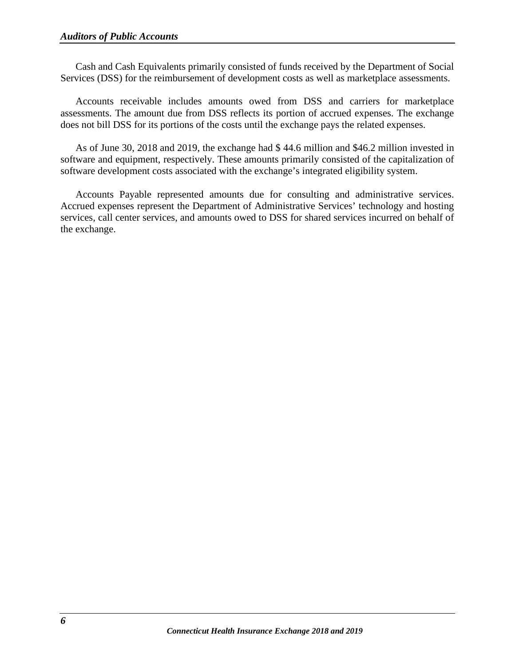Cash and Cash Equivalents primarily consisted of funds received by the Department of Social Services (DSS) for the reimbursement of development costs as well as marketplace assessments.

Accounts receivable includes amounts owed from DSS and carriers for marketplace assessments. The amount due from DSS reflects its portion of accrued expenses. The exchange does not bill DSS for its portions of the costs until the exchange pays the related expenses.

As of June 30, 2018 and 2019, the exchange had \$ 44.6 million and \$46.2 million invested in software and equipment, respectively. These amounts primarily consisted of the capitalization of software development costs associated with the exchange's integrated eligibility system.

Accounts Payable represented amounts due for consulting and administrative services. Accrued expenses represent the Department of Administrative Services' technology and hosting services, call center services, and amounts owed to DSS for shared services incurred on behalf of the exchange.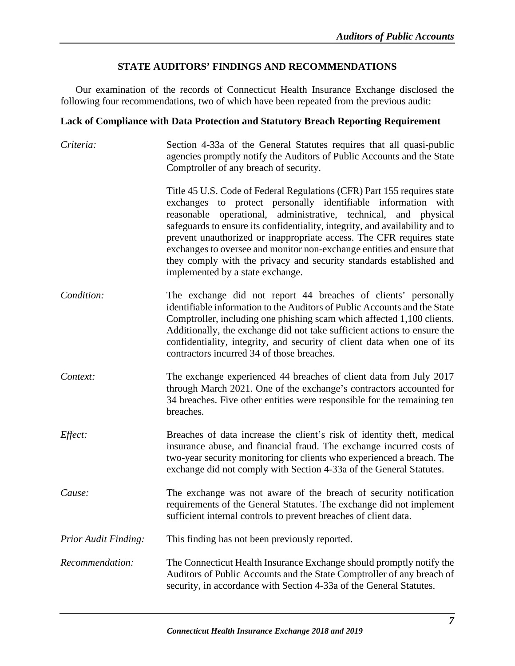## **STATE AUDITORS' FINDINGS AND RECOMMENDATIONS**

<span id="page-9-0"></span>Our examination of the records of Connecticut Health Insurance Exchange disclosed the following four recommendations, two of which have been repeated from the previous audit:

## <span id="page-9-1"></span>**Lack of Compliance with Data Protection and Statutory Breach Reporting Requirement**

| Criteria:                   | Section 4-33a of the General Statutes requires that all quasi-public<br>agencies promptly notify the Auditors of Public Accounts and the State<br>Comptroller of any breach of security.                                                                                                                                                                                                                                                                                                                                                                 |
|-----------------------------|----------------------------------------------------------------------------------------------------------------------------------------------------------------------------------------------------------------------------------------------------------------------------------------------------------------------------------------------------------------------------------------------------------------------------------------------------------------------------------------------------------------------------------------------------------|
|                             | Title 45 U.S. Code of Federal Regulations (CFR) Part 155 requires state<br>exchanges to protect personally identifiable information with<br>reasonable operational, administrative, technical, and physical<br>safeguards to ensure its confidentiality, integrity, and availability and to<br>prevent unauthorized or inappropriate access. The CFR requires state<br>exchanges to oversee and monitor non-exchange entities and ensure that<br>they comply with the privacy and security standards established and<br>implemented by a state exchange. |
| Condition:                  | The exchange did not report 44 breaches of clients' personally<br>identifiable information to the Auditors of Public Accounts and the State<br>Comptroller, including one phishing scam which affected 1,100 clients.<br>Additionally, the exchange did not take sufficient actions to ensure the<br>confidentiality, integrity, and security of client data when one of its<br>contractors incurred 34 of those breaches.                                                                                                                               |
| Context:                    | The exchange experienced 44 breaches of client data from July 2017<br>through March 2021. One of the exchange's contractors accounted for<br>34 breaches. Five other entities were responsible for the remaining ten<br>breaches.                                                                                                                                                                                                                                                                                                                        |
| Effect:                     | Breaches of data increase the client's risk of identity theft, medical<br>insurance abuse, and financial fraud. The exchange incurred costs of<br>two-year security monitoring for clients who experienced a breach. The<br>exchange did not comply with Section 4-33a of the General Statutes.                                                                                                                                                                                                                                                          |
| Cause:                      | The exchange was not aware of the breach of security notification<br>requirements of the General Statutes. The exchange did not implement<br>sufficient internal controls to prevent breaches of client data.                                                                                                                                                                                                                                                                                                                                            |
| <b>Prior Audit Finding:</b> | This finding has not been previously reported.                                                                                                                                                                                                                                                                                                                                                                                                                                                                                                           |
| Recommendation:             | The Connecticut Health Insurance Exchange should promptly notify the<br>Auditors of Public Accounts and the State Comptroller of any breach of<br>security, in accordance with Section 4-33a of the General Statutes.                                                                                                                                                                                                                                                                                                                                    |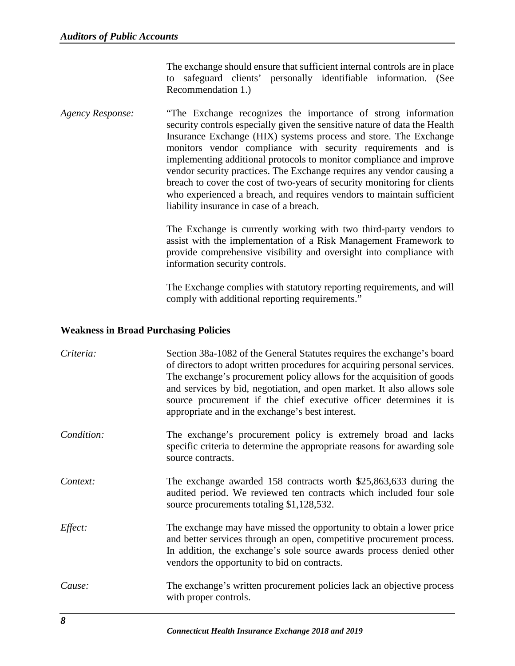The exchange should ensure that sufficient internal controls are in place to safeguard clients' personally identifiable information. (See Recommendation 1.)

*Agency Response:* "The Exchange recognizes the importance of strong information security controls especially given the sensitive nature of data the Health Insurance Exchange (HIX) systems process and store. The Exchange monitors vendor compliance with security requirements and is implementing additional protocols to monitor compliance and improve vendor security practices. The Exchange requires any vendor causing a breach to cover the cost of two-years of security monitoring for clients who experienced a breach, and requires vendors to maintain sufficient liability insurance in case of a breach.

> The Exchange is currently working with two third-party vendors to assist with the implementation of a Risk Management Framework to provide comprehensive visibility and oversight into compliance with information security controls.

> The Exchange complies with statutory reporting requirements, and will comply with additional reporting requirements."

#### <span id="page-10-0"></span>**Weakness in Broad Purchasing Policies**

| Criteria:  | Section 38a-1082 of the General Statutes requires the exchange's board<br>of directors to adopt written procedures for acquiring personal services.<br>The exchange's procurement policy allows for the acquisition of goods<br>and services by bid, negotiation, and open market. It also allows sole<br>source procurement if the chief executive officer determines it is<br>appropriate and in the exchange's best interest. |
|------------|----------------------------------------------------------------------------------------------------------------------------------------------------------------------------------------------------------------------------------------------------------------------------------------------------------------------------------------------------------------------------------------------------------------------------------|
| Condition: | The exchange's procurement policy is extremely broad and lacks<br>specific criteria to determine the appropriate reasons for awarding sole<br>source contracts.                                                                                                                                                                                                                                                                  |
| Context:   | The exchange awarded 158 contracts worth \$25,863,633 during the<br>audited period. We reviewed ten contracts which included four sole<br>source procurements totaling \$1,128,532.                                                                                                                                                                                                                                              |
| Effect:    | The exchange may have missed the opportunity to obtain a lower price<br>and better services through an open, competitive procurement process.<br>In addition, the exchange's sole source awards process denied other<br>vendors the opportunity to bid on contracts.                                                                                                                                                             |
| Cause:     | The exchange's written procurement policies lack an objective process<br>with proper controls.                                                                                                                                                                                                                                                                                                                                   |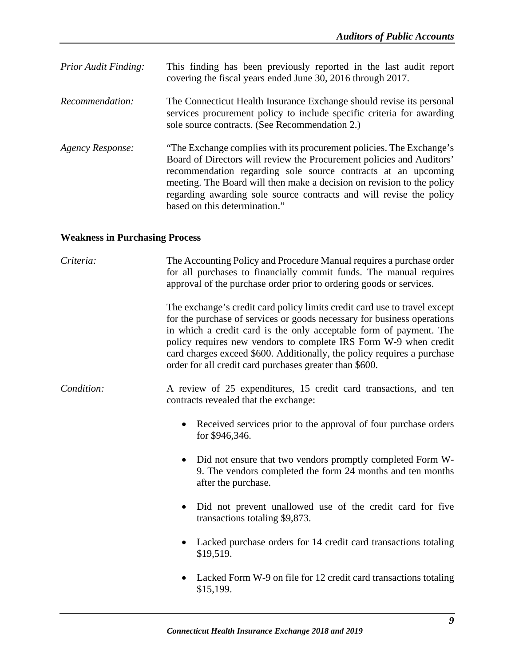| <b>Prior Audit Finding:</b> | This finding has been previously reported in the last audit report<br>covering the fiscal years ended June 30, 2016 through 2017.                                                                                                                                                                                                                                                                |
|-----------------------------|--------------------------------------------------------------------------------------------------------------------------------------------------------------------------------------------------------------------------------------------------------------------------------------------------------------------------------------------------------------------------------------------------|
| Recommendation:             | The Connecticut Health Insurance Exchange should revise its personal<br>services procurement policy to include specific criteria for awarding<br>sole source contracts. (See Recommendation 2.)                                                                                                                                                                                                  |
| Agency Response:            | "The Exchange complies with its procurement policies. The Exchange's<br>Board of Directors will review the Procurement policies and Auditors'<br>recommendation regarding sole source contracts at an upcoming<br>meeting. The Board will then make a decision on revision to the policy<br>regarding awarding sole source contracts and will revise the policy<br>based on this determination." |

# <span id="page-11-0"></span>**Weakness in Purchasing Process**

| Criteria:  | The Accounting Policy and Procedure Manual requires a purchase order<br>for all purchases to financially commit funds. The manual requires<br>approval of the purchase order prior to ordering goods or services.                                                                                                                                                                                                                    |
|------------|--------------------------------------------------------------------------------------------------------------------------------------------------------------------------------------------------------------------------------------------------------------------------------------------------------------------------------------------------------------------------------------------------------------------------------------|
|            | The exchange's credit card policy limits credit card use to travel except<br>for the purchase of services or goods necessary for business operations<br>in which a credit card is the only acceptable form of payment. The<br>policy requires new vendors to complete IRS Form W-9 when credit<br>card charges exceed \$600. Additionally, the policy requires a purchase<br>order for all credit card purchases greater than \$600. |
| Condition: | A review of 25 expenditures, 15 credit card transactions, and ten<br>contracts revealed that the exchange:                                                                                                                                                                                                                                                                                                                           |
|            | Received services prior to the approval of four purchase orders<br>$\bullet$<br>for \$946,346.                                                                                                                                                                                                                                                                                                                                       |
|            | Did not ensure that two vendors promptly completed Form W-<br>$\bullet$<br>9. The vendors completed the form 24 months and ten months<br>after the purchase.                                                                                                                                                                                                                                                                         |
|            | Did not prevent unallowed use of the credit card for five<br>$\bullet$<br>transactions totaling \$9,873.                                                                                                                                                                                                                                                                                                                             |
|            | Lacked purchase orders for 14 credit card transactions totaling<br>\$19,519.                                                                                                                                                                                                                                                                                                                                                         |
|            | Lacked Form W-9 on file for 12 credit card transactions totaling<br>\$15,199.                                                                                                                                                                                                                                                                                                                                                        |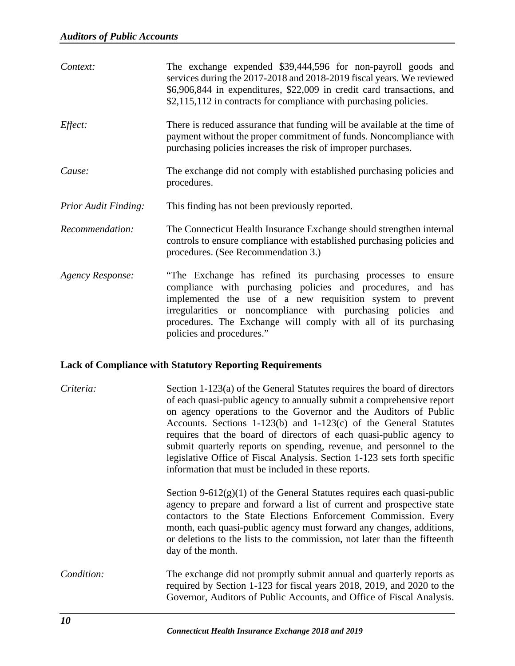| Context:                               | The exchange expended \$39,444,596 for non-payroll goods and<br>services during the 2017-2018 and 2018-2019 fiscal years. We reviewed<br>\$6,906,844 in expenditures, \$22,009 in credit card transactions, and<br>\$2,115,112 in contracts for compliance with purchasing policies.                                                                      |
|----------------------------------------|-----------------------------------------------------------------------------------------------------------------------------------------------------------------------------------------------------------------------------------------------------------------------------------------------------------------------------------------------------------|
| Effect:                                | There is reduced assurance that funding will be available at the time of<br>payment without the proper commitment of funds. Noncompliance with<br>purchasing policies increases the risk of improper purchases.                                                                                                                                           |
| Cause:                                 | The exchange did not comply with established purchasing policies and<br>procedures.                                                                                                                                                                                                                                                                       |
| <b>Prior Audit Finding:</b>            | This finding has not been previously reported.                                                                                                                                                                                                                                                                                                            |
| Recommendation:                        | The Connecticut Health Insurance Exchange should strengthen internal<br>controls to ensure compliance with established purchasing policies and<br>procedures. (See Recommendation 3.)                                                                                                                                                                     |
| <b>Agency Response:</b>                | "The Exchange has refined its purchasing processes to ensure<br>compliance with purchasing policies and procedures, and has<br>implemented the use of a new requisition system to prevent<br>irregularities or noncompliance with purchasing policies and<br>procedures. The Exchange will comply with all of its purchasing<br>policies and procedures." |
| $\mathbf{1}$ $\mathbf{0}$ $\mathbf{0}$ | $\mathbf{u}$ and $\mathbf{v}$ and $\mathbf{v}$ and $\mathbf{v}$                                                                                                                                                                                                                                                                                           |

#### <span id="page-12-0"></span>**Lack of Compliance with Statutory Reporting Requirements**

| Criteria:  | Section 1-123(a) of the General Statutes requires the board of directors<br>of each quasi-public agency to annually submit a comprehensive report<br>on agency operations to the Governor and the Auditors of Public<br>Accounts. Sections 1-123(b) and 1-123(c) of the General Statutes<br>requires that the board of directors of each quasi-public agency to<br>submit quarterly reports on spending, revenue, and personnel to the<br>legislative Office of Fiscal Analysis. Section 1-123 sets forth specific<br>information that must be included in these reports. |
|------------|---------------------------------------------------------------------------------------------------------------------------------------------------------------------------------------------------------------------------------------------------------------------------------------------------------------------------------------------------------------------------------------------------------------------------------------------------------------------------------------------------------------------------------------------------------------------------|
|            | Section 9-612 $(g)(1)$ of the General Statutes requires each quasi-public<br>agency to prepare and forward a list of current and prospective state<br>contactors to the State Elections Enforcement Commission. Every<br>month, each quasi-public agency must forward any changes, additions,<br>or deletions to the lists to the commission, not later than the fifteenth<br>day of the month.                                                                                                                                                                           |
| Condition: | The exchange did not promptly submit annual and quarterly reports as<br>required by Section 1-123 for fiscal years 2018, 2019, and 2020 to the<br>Governor, Auditors of Public Accounts, and Office of Fiscal Analysis.                                                                                                                                                                                                                                                                                                                                                   |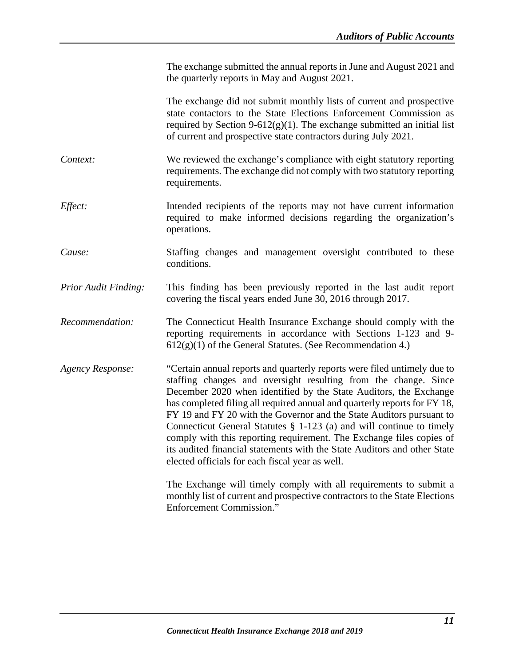The exchange submitted the annual reports in June and August 2021 and the quarterly reports in May and August 2021.

The exchange did not submit monthly lists of current and prospective state contactors to the State Elections Enforcement Commission as required by Section  $9-612(g)(1)$ . The exchange submitted an initial list of current and prospective state contractors during July 2021.

- *Context:* We reviewed the exchange's compliance with eight statutory reporting requirements. The exchange did not comply with two statutory reporting requirements.
- *Effect:* Intended recipients of the reports may not have current information required to make informed decisions regarding the organization's operations.
- *Cause:* Staffing changes and management oversight contributed to these conditions.
- *Prior Audit Finding:* This finding has been previously reported in the last audit report covering the fiscal years ended June 30, 2016 through 2017.
- *Recommendation:* The Connecticut Health Insurance Exchange should comply with the reporting requirements in accordance with Sections 1-123 and 9-  $612(g)(1)$  of the General Statutes. (See Recommendation 4.)
- *Agency Response:* "Certain annual reports and quarterly reports were filed untimely due to staffing changes and oversight resulting from the change. Since December 2020 when identified by the State Auditors, the Exchange has completed filing all required annual and quarterly reports for FY 18, FY 19 and FY 20 with the Governor and the State Auditors pursuant to Connecticut General Statutes § 1-123 (a) and will continue to timely comply with this reporting requirement. The Exchange files copies of its audited financial statements with the State Auditors and other State elected officials for each fiscal year as well.

The Exchange will timely comply with all requirements to submit a monthly list of current and prospective contractors to the State Elections Enforcement Commission."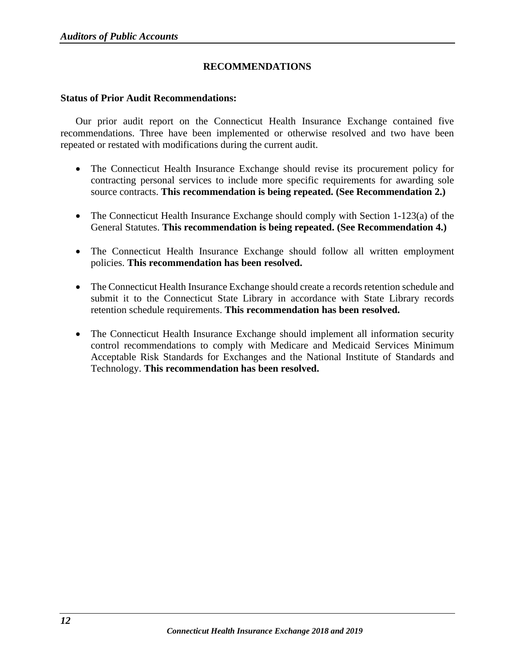## **RECOMMENDATIONS**

#### <span id="page-14-1"></span><span id="page-14-0"></span>**Status of Prior Audit Recommendations:**

Our prior audit report on the Connecticut Health Insurance Exchange contained five recommendations. Three have been implemented or otherwise resolved and two have been repeated or restated with modifications during the current audit.

- The Connecticut Health Insurance Exchange should revise its procurement policy for contracting personal services to include more specific requirements for awarding sole source contracts. **This recommendation is being repeated. (See Recommendation 2.)**
- The Connecticut Health Insurance Exchange should comply with Section 1-123(a) of the General Statutes. **This recommendation is being repeated. (See Recommendation 4.)**
- The Connecticut Health Insurance Exchange should follow all written employment policies. **This recommendation has been resolved.**
- The Connecticut Health Insurance Exchange should create a records retention schedule and submit it to the Connecticut State Library in accordance with State Library records retention schedule requirements. **This recommendation has been resolved.**
- The Connecticut Health Insurance Exchange should implement all information security control recommendations to comply with Medicare and Medicaid Services Minimum Acceptable Risk Standards for Exchanges and the National Institute of Standards and Technology. **This recommendation has been resolved.**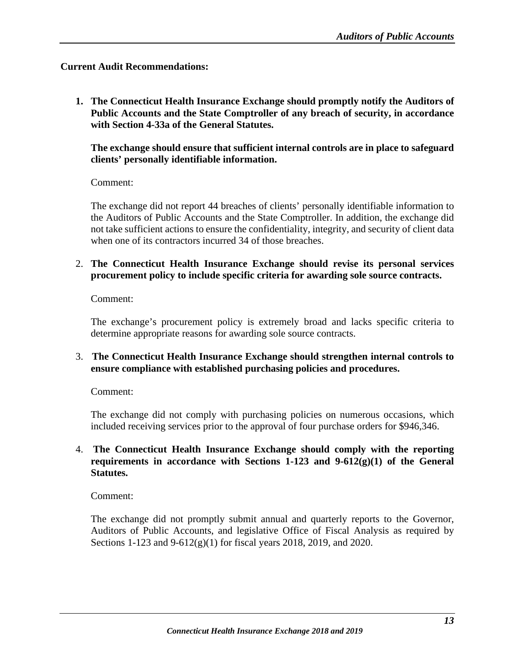#### <span id="page-15-0"></span>**Current Audit Recommendations:**

**1. The Connecticut Health Insurance Exchange should promptly notify the Auditors of Public Accounts and the State Comptroller of any breach of security, in accordance with Section 4-33a of the General Statutes.** 

**The exchange should ensure that sufficient internal controls are in place to safeguard clients' personally identifiable information.**

Comment:

The exchange did not report 44 breaches of clients' personally identifiable information to the Auditors of Public Accounts and the State Comptroller. In addition, the exchange did not take sufficient actions to ensure the confidentiality, integrity, and security of client data when one of its contractors incurred 34 of those breaches.

2. **The Connecticut Health Insurance Exchange should revise its personal services procurement policy to include specific criteria for awarding sole source contracts.**

Comment:

The exchange's procurement policy is extremely broad and lacks specific criteria to determine appropriate reasons for awarding sole source contracts.

#### 3. **The Connecticut Health Insurance Exchange should strengthen internal controls to ensure compliance with established purchasing policies and procedures.**

Comment:

The exchange did not comply with purchasing policies on numerous occasions, which included receiving services prior to the approval of four purchase orders for \$946,346.

## 4. **The Connecticut Health Insurance Exchange should comply with the reporting requirements in accordance with Sections 1-123 and 9-612(g)(1) of the General Statutes.**

Comment:

The exchange did not promptly submit annual and quarterly reports to the Governor, Auditors of Public Accounts, and legislative Office of Fiscal Analysis as required by Sections 1-123 and 9-612(g)(1) for fiscal years 2018, 2019, and 2020.